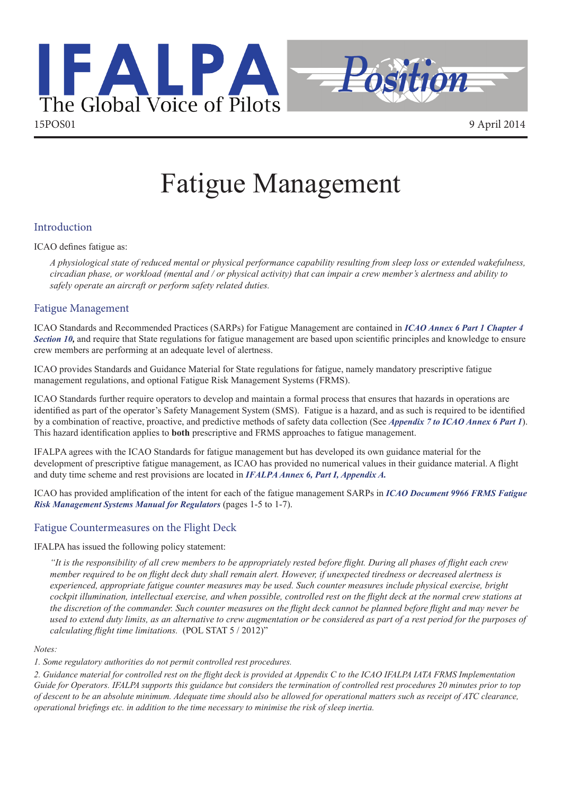

# Fatigue Management

## Introduction

ICAO defines fatigue as:

*A physiological state of reduced mental or physical performance capability resulting from sleep loss or extended wakefulness, circadian phase, or workload (mental and / or physical activity) that can impair a crew member's alertness and ability to safely operate an aircraft or perform safety related duties.*

## Fatigue Management

ICAO Standards and Recommended Practices (SARPs) for Fatigue Management are contained in *[ICAO Annex 6 Part 1 Chapter 4](http://www.icao.int/safety/fatiguemanagement/FRMS Tools/Amendment 37 for FRMS SARPS %28en%29.pdf)  [Section 10,](http://www.icao.int/safety/fatiguemanagement/Pages/ICAOStandards.aspx)* and require that State regulations for fatigue management are based upon scientific principles and knowledge to ensure crew members are performing at an adequate level of alertness.

ICAO provides Standards and Guidance Material for State regulations for fatigue, namely mandatory prescriptive fatigue management regulations, and optional Fatigue Risk Management Systems (FRMS).

ICAO Standards further require operators to develop and maintain a formal process that ensures that hazards in operations are identified as part of the operator's Safety Management System (SMS). Fatigue is a hazard, and as such is required to be identified by a combination of reactive, proactive, and predictive methods of safety data collection (See *[Appendix 7 to ICAO Annex 6 Part 1](http://www.ifalpa.org/store/ICAO Annex 6, Part 1, appendix 7.pdf)*). This hazard identification applies to **both** prescriptive and FRMS approaches to fatigue management.

IFALPA agrees with the ICAO Standards for fatigue management but has developed its own guidance material for the development of prescriptive fatigue management, as ICAO has provided no numerical values in their guidance material. A flight and duty time scheme and rest provisions are located in *[IFALPA Annex 6, Part](http://www.ifalpa.org/store/IFALPA Annex 6.pdf) I, Appendix A.*

ICAO has provided amplification of the intent for each of the fatigue management SARPs in *[ICAO Document 9966 FRMS Fatigue](www.icao.int/safety/fatiguemanagement/Pages/DocumentsandToolkits.aspx)  [Risk Management Systems Manual for Regulators](www.icao.int/safety/fatiguemanagement/Pages/DocumentsandToolkits.aspx)* (pages 1-5 to 1-7).

## Fatigue Countermeasures on the Flight Deck

IFALPA has issued the following policy statement:

*"It is the responsibility of all crew members to be appropriately rested before flight. During all phases of flight each crew member required to be on flight deck duty shall remain alert. However, if unexpected tiredness or decreased alertness is experienced, appropriate fatigue counter measures may be used. Such counter measures include physical exercise, bright cockpit illumination, intellectual exercise, and when possible, controlled rest on the flight deck at the normal crew stations at the discretion of the commander. Such counter measures on the flight deck cannot be planned before flight and may never be used to extend duty limits, as an alternative to crew augmentation or be considered as part of a rest period for the purposes of calculating flight time limitations.* (POL STAT 5 / 2012)"

#### *Notes:*

*1. Some regulatory authorities do not permit controlled rest procedures.*

*2. Guidance material for controlled rest on the flight deck is provided at Appendix C to the ICAO IFALPA IATA FRMS Implementation Guide for Operators. IFALPA supports this guidance but considers the termination of controlled rest procedures 20 minutes prior to top of descent to be an absolute minimum. Adequate time should also be allowed for operational matters such as receipt of ATC clearance, operational briefings etc. in addition to the time necessary to minimise the risk of sleep inertia.*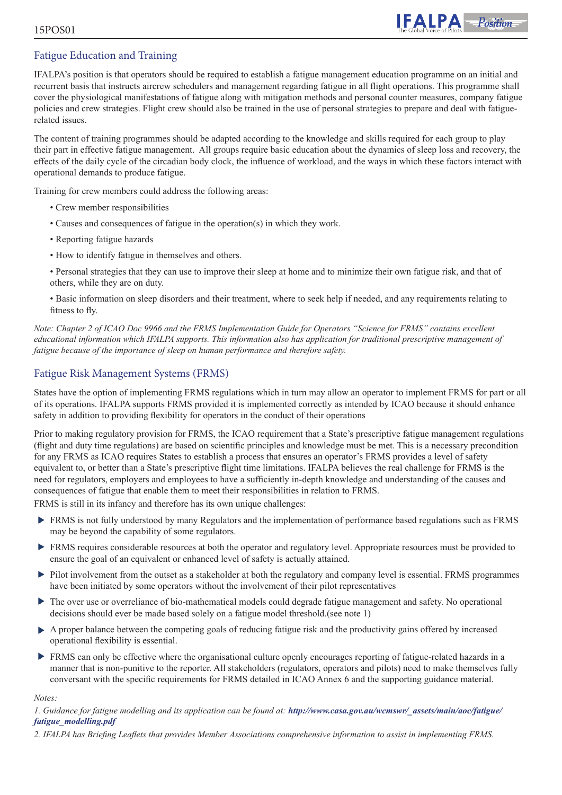# Fatigue Education and Training

IFALPA's position is that operators should be required to establish a fatigue management education programme on an initial and recurrent basis that instructs aircrew schedulers and management regarding fatigue in all flight operations. This programme shall cover the physiological manifestations of fatigue along with mitigation methods and personal counter measures, company fatigue policies and crew strategies. Flight crew should also be trained in the use of personal strategies to prepare and deal with fatiguerelated issues.

The content of training programmes should be adapted according to the knowledge and skills required for each group to play their part in effective fatigue management. All groups require basic education about the dynamics of sleep loss and recovery, the effects of the daily cycle of the circadian body clock, the influence of workload, and the ways in which these factors interact with operational demands to produce fatigue.

Training for crew members could address the following areas:

- Crew member responsibilities
- Causes and consequences of fatigue in the operation(s) in which they work.
- Reporting fatigue hazards
- How to identify fatigue in themselves and others.
- Personal strategies that they can use to improve their sleep at home and to minimize their own fatigue risk, and that of others, while they are on duty.
- Basic information on sleep disorders and their treatment, where to seek help if needed, and any requirements relating to fitness to fly.

*Note: Chapter 2 of ICAO Doc 9966 and the FRMS Implementation Guide for Operators "Science for FRMS" contains excellent educational information which IFALPA supports. This information also has application for traditional prescriptive management of fatigue because of the importance of sleep on human performance and therefore safety.*

## Fatigue Risk Management Systems (FRMS)

States have the option of implementing FRMS regulations which in turn may allow an operator to implement FRMS for part or all of its operations. IFALPA supports FRMS provided it is implemented correctly as intended by ICAO because it should enhance safety in addition to providing flexibility for operators in the conduct of their operations

Prior to making regulatory provision for FRMS, the ICAO requirement that a State's prescriptive fatigue management regulations (flight and duty time regulations) are based on scientific principles and knowledge must be met. This is a necessary precondition for any FRMS as ICAO requires States to establish a process that ensures an operator's FRMS provides a level of safety equivalent to, or better than a State's prescriptive flight time limitations. IFALPA believes the real challenge for FRMS is the need for regulators, employers and employees to have a sufficiently in-depth knowledge and understanding of the causes and consequences of fatigue that enable them to meet their responsibilities in relation to FRMS.

FRMS is still in its infancy and therefore has its own unique challenges:

- FRMS is not fully understood by many Regulators and the implementation of performance based regulations such as FRMS may be beyond the capability of some regulators.
- FRMS requires considerable resources at both the operator and regulatory level. Appropriate resources must be provided to ensure the goal of an equivalent or enhanced level of safety is actually attained.
- Pilot involvement from the outset as a stakeholder at both the regulatory and company level is essential. FRMS programmes have been initiated by some operators without the involvement of their pilot representatives
- $\blacktriangleright$ The over use or overreliance of bio-mathematical models could degrade fatigue management and safety. No operational decisions should ever be made based solely on a fatigue model threshold.(see note 1)
- A proper balance between the competing goals of reducing fatigue risk and the productivity gains offered by increased operational flexibility is essential.
- **FRMS** can only be effective where the organisational culture openly encourages reporting of fatigue-related hazards in a manner that is non-punitive to the reporter. All stakeholders (regulators, operators and pilots) need to make themselves fully conversant with the specific requirements for FRMS detailed in ICAO Annex 6 and the supporting guidance material.

*Notes:*

#### *1. Guidance for fatigue modelling and its application can be found at: [http://www.casa.gov.au/wcmswr/\\_assets/main/aoc/fatigue/](http://www.casa.gov.au/wcmswr/_assets/main/aoc/fatigue/fatigue_modelling.pdf) [fatigue\\_modelling.pdf](http://www.casa.gov.au/wcmswr/_assets/main/aoc/fatigue/fatigue_modelling.pdf)*

*2. IFALPA has Briefing Leaflets that provides Member Associations comprehensive information to assist in implementing FRMS.*